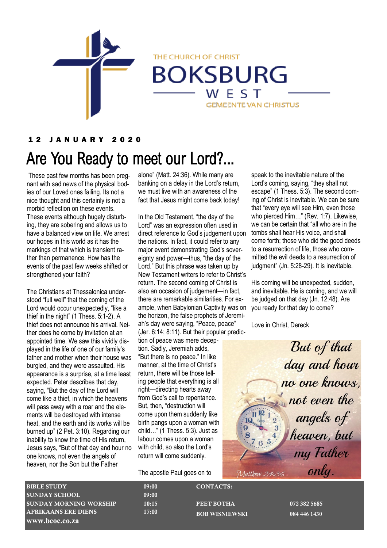

THE CHURCH OF CHRIST

**BOKSBURG** WEST **GEMEENTE VAN CHRISTUS** 

#### 1 2 J A N U A R Y 2 0 2 0

# Are You Ready to meet our Lord?...

These past few months has been pregnant with sad news of the physical bodies of our Loved ones failing. Its not a nice thought and this certainly is not a morbid reflection on these events. These events although hugely disturbing, they are sobering and allows us to have a balanced view on life. We arrest our hopes in this world as it has the markings of that which is transient rather than permanence. How has the events of the past few weeks shifted or strengthened your faith?

The Christians at Thessalonica understood "full well" that the coming of the Lord would occur unexpectedly, "like a thief in the night" (1 Thess. 5:1-2). A thief does not announce his arrival. Neither does he come by invitation at an appointed time. We saw this vividly displayed in the life of one of our family's father and mother when their house was burgled, and they were assaulted. His appearance is a surprise, at a time least expected. Peter describes that day, saying, "But the day of the Lord will come like a thief, in which the heavens will pass away with a roar and the elements will be destroyed with intense heat, and the earth and its works will be burned up" (2 Pet. 3:10). Regarding our inability to know the time of His return, Jesus says, "But of that day and hour no one knows, not even the angels of heaven, nor the Son but the Father

alone" (Matt. 24:36). While many are banking on a delay in the Lord's return, we must live with an awareness of the fact that Jesus might come back today!

In the Old Testament, "the day of the Lord" was an expression often used in direct reference to God's judgement upon the nations. In fact, it could refer to any major event demonstrating God's sovereignty and power—thus, "the day of the Lord." But this phrase was taken up by New Testament writers to refer to Christ's return. The second coming of Christ is also an occasion of judgement—in fact, there are remarkable similarities. For example, when Babylonian Captivity was on the horizon, the false prophets of Jeremiah's day were saying, "Peace, peace" (Jer. 6:14; 8:11). But their popular predic-

tion of peace was mere deception. Sadly, Jeremiah adds, "But there is no peace." In like manner, at the time of Christ's return, there will be those telling people that everything is all right—directing hearts away from God's call to repentance. But, then, "destruction will come upon them suddenly like birth pangs upon a woman with child..."  $(1$  Thess. 5:3). Just as labour comes upon a woman with child, so also the Lord's return will come suddenly.

The apostle Paul goes on to

speak to the inevitable nature of the Lord's coming, saying, "they shall not escape" (1 Thess. 5:3). The second coming of Christ is inevitable. We can be sure that "every eye will see Him, even those who pierced Him…" (Rev. 1:7). Likewise, we can be certain that "all who are in the tombs shall hear His voice, and shall come forth; those who did the good deeds to a resurrection of life, those who committed the evil deeds to a resurrection of judgment" (Jn. 5:28-29). It is inevitable.

His coming will be unexpected, sudden, and inevitable. He is coming, and we will be judged on that day (Jn. 12:48). Are you ready for that day to come?

Love in Christ, Dereck

But of that day and how no one knows. not even the angels of heaven, but my Father only. Matthew 24:36

BIBLE STUDY 09:00 SUNDAY SCHOOL 09:00 SUNDAY MORNING WORSHIP 10:15 AFRIKAANS ERE DIENS 17:00 **www.bcoc.co.za**

CONTACTS:

PEET BOTHA 072 382 5685 **BOB WISNIEWSKI 084 446 1430**